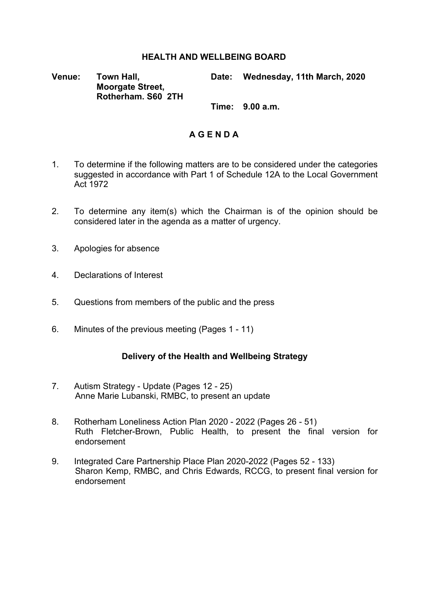### **HEALTH AND WELLBEING BOARD**

**Venue: Town Hall, Moorgate Street, Rotherham. S60 2TH** **Date: Wednesday, 11th March, 2020**

**Time: 9.00 a.m.**

## **A G E N D A**

- 1. To determine if the following matters are to be considered under the categories suggested in accordance with Part 1 of Schedule 12A to the Local Government Act 1972
- 2. To determine any item(s) which the Chairman is of the opinion should be considered later in the agenda as a matter of urgency.
- 3. Apologies for absence
- 4. Declarations of Interest
- 5. Questions from members of the public and the press
- 6. Minutes of the previous meeting (Pages 1 11)

#### **Delivery of the Health and Wellbeing Strategy**

- 7. Autism Strategy Update (Pages 12 25) Anne Marie Lubanski, RMBC, to present an update
- 8. Rotherham Loneliness Action Plan 2020 2022 (Pages 26 51) Ruth Fletcher-Brown, Public Health, to present the final version for endorsement
- 9. Integrated Care Partnership Place Plan 2020-2022 (Pages 52 133) Sharon Kemp, RMBC, and Chris Edwards, RCCG, to present final version for endorsement